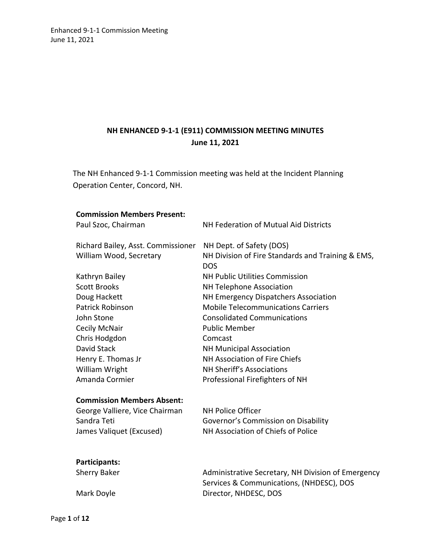# **NH ENHANCED 9-1-1 (E911) COMMISSION MEETING MINUTES June 11, 2021**

The NH Enhanced 9-1-1 Commission meeting was held at the Incident Planning Operation Center, Concord, NH.

| <b>Commission Members Present:</b> |                                                    |  |
|------------------------------------|----------------------------------------------------|--|
| Paul Szoc, Chairman                | NH Federation of Mutual Aid Districts              |  |
|                                    |                                                    |  |
| Richard Bailey, Asst. Commissioner | NH Dept. of Safety (DOS)                           |  |
| William Wood, Secretary            | NH Division of Fire Standards and Training & EMS,  |  |
|                                    | <b>DOS</b>                                         |  |
| Kathryn Bailey                     | <b>NH Public Utilities Commission</b>              |  |
| <b>Scott Brooks</b>                | NH Telephone Association                           |  |
| Doug Hackett                       | NH Emergency Dispatchers Association               |  |
| <b>Patrick Robinson</b>            | <b>Mobile Telecommunications Carriers</b>          |  |
| John Stone                         | <b>Consolidated Communications</b>                 |  |
| Cecily McNair                      | <b>Public Member</b>                               |  |
| Chris Hodgdon                      | Comcast                                            |  |
| David Stack                        | <b>NH Municipal Association</b>                    |  |
| Henry E. Thomas Jr                 | NH Association of Fire Chiefs                      |  |
| William Wright                     | NH Sheriff's Associations                          |  |
| Amanda Cormier                     | Professional Firefighters of NH                    |  |
|                                    |                                                    |  |
| <b>Commission Members Absent:</b>  |                                                    |  |
| George Valliere, Vice Chairman     | <b>NH Police Officer</b>                           |  |
| Sandra Teti                        | Governor's Commission on Disability                |  |
| James Valiquet (Excused)           | NH Association of Chiefs of Police                 |  |
|                                    |                                                    |  |
| Participants:                      |                                                    |  |
| Sherry Baker                       | Administrative Secretary. NH Division of Emergency |  |

| Sherry Baker | Administrative Secretary, NH Division of Emergency |
|--------------|----------------------------------------------------|
|              | Services & Communications, (NHDESC), DOS           |
| Mark Doyle   | Director, NHDESC, DOS                              |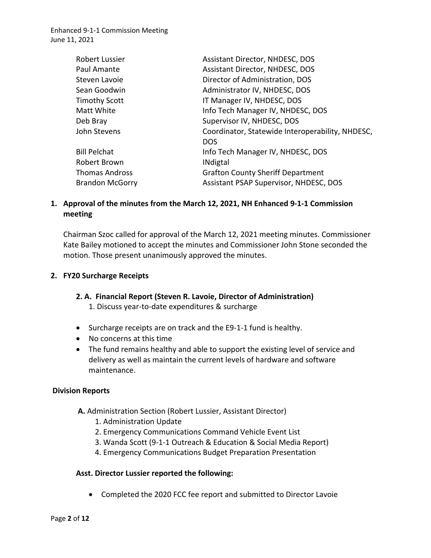| <b>Robert Lussier</b>  | <b>Assistant Director, NHDESC, DOS</b>                         |
|------------------------|----------------------------------------------------------------|
| Paul Amante            | Assistant Director, NHDESC, DOS                                |
| Steven Lavoie          | Director of Administration, DOS                                |
| Sean Goodwin           | Administrator IV, NHDESC, DOS                                  |
| <b>Timothy Scott</b>   | IT Manager IV, NHDESC, DOS                                     |
| Matt White             | Info Tech Manager IV, NHDESC, DOS                              |
| Deb Bray               | Supervisor IV, NHDESC, DOS                                     |
| John Stevens           | Coordinator, Statewide Interoperability, NHDESC,<br><b>DOS</b> |
| <b>Bill Pelchat</b>    | Info Tech Manager IV, NHDESC, DOS                              |
| Robert Brown           | <b>INdigtal</b>                                                |
| <b>Thomas Andross</b>  | <b>Grafton County Sheriff Department</b>                       |
| <b>Brandon McGorry</b> | Assistant PSAP Supervisor, NHDESC, DOS                         |

## **1. Approval of the minutes from the March 12, 2021, NH Enhanced 9-1-1 Commission meeting**

Chairman Szoc called for approval of the March 12, 2021 meeting minutes. Commissioner Kate Bailey motioned to accept the minutes and Commissioner John Stone seconded the motion. Those present unanimously approved the minutes.

#### **2. FY20 Surcharge Receipts**

#### **2. A. Financial Report (Steven R. Lavoie, Director of Administration)**

1. Discuss year-to-date expenditures & surcharge

- Surcharge receipts are on track and the E9-1-1 fund is healthy.
- No concerns at this time
- The fund remains healthy and able to support the existing level of service and delivery as well as maintain the current levels of hardware and software maintenance.

#### **Division Reports**

- **A.** Administration Section (Robert Lussier, Assistant Director)
	- 1. Administration Update
	- 2. Emergency Communications Command Vehicle Event List
	- 3. Wanda Scott (9-1-1 Outreach & Education & Social Media Report)
	- 4. Emergency Communications Budget Preparation Presentation

#### **Asst. Director Lussier reported the following:**

• Completed the 2020 FCC fee report and submitted to Director Lavoie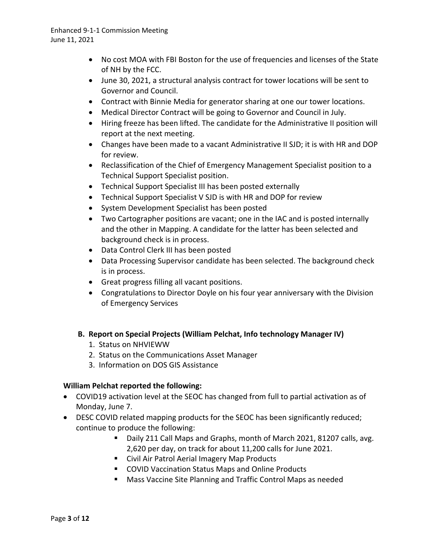- No cost MOA with FBI Boston for the use of frequencies and licenses of the State of NH by the FCC.
- June 30, 2021, a structural analysis contract for tower locations will be sent to Governor and Council.
- Contract with Binnie Media for generator sharing at one our tower locations.
- Medical Director Contract will be going to Governor and Council in July.
- Hiring freeze has been lifted. The candidate for the Administrative II position will report at the next meeting.
- Changes have been made to a vacant Administrative II SJD; it is with HR and DOP for review.
- Reclassification of the Chief of Emergency Management Specialist position to a Technical Support Specialist position.
- Technical Support Specialist III has been posted externally
- Technical Support Specialist V SJD is with HR and DOP for review
- System Development Specialist has been posted
- Two Cartographer positions are vacant; one in the IAC and is posted internally and the other in Mapping. A candidate for the latter has been selected and background check is in process.
- Data Control Clerk III has been posted
- Data Processing Supervisor candidate has been selected. The background check is in process.
- Great progress filling all vacant positions.
- Congratulations to Director Doyle on his four year anniversary with the Division of Emergency Services

## **B. Report on Special Projects (William Pelchat, Info technology Manager IV)**

- 1. Status on NHVIEWW
- 2. Status on the Communications Asset Manager
- 3. Information on DOS GIS Assistance

## **William Pelchat reported the following:**

- COVID19 activation level at the SEOC has changed from full to partial activation as of Monday, June 7.
- DESC COVID related mapping products for the SEOC has been significantly reduced; continue to produce the following:
	- Daily 211 Call Maps and Graphs, month of March 2021, 81207 calls, avg. 2,620 per day, on track for about 11,200 calls for June 2021.
	- Civil Air Patrol Aerial Imagery Map Products
	- COVID Vaccination Status Maps and Online Products
	- **Mass Vaccine Site Planning and Traffic Control Maps as needed**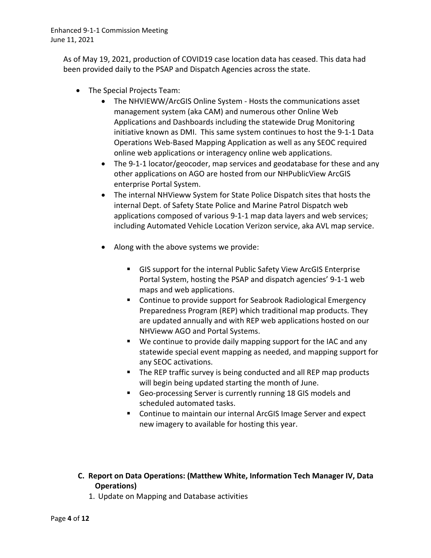> As of May 19, 2021, production of COVID19 case location data has ceased. This data had been provided daily to the PSAP and Dispatch Agencies across the state.

- The Special Projects Team:
	- The NHVIEWW/ArcGIS Online System Hosts the communications asset management system (aka CAM) and numerous other Online Web Applications and Dashboards including the statewide Drug Monitoring initiative known as DMI. This same system continues to host the 9-1-1 Data Operations Web-Based Mapping Application as well as any SEOC required online web applications or interagency online web applications.
	- The 9-1-1 locator/geocoder, map services and geodatabase for these and any other applications on AGO are hosted from our NHPublicView ArcGIS enterprise Portal System.
	- The internal NHVieww System for State Police Dispatch sites that hosts the internal Dept. of Safety State Police and Marine Patrol Dispatch web applications composed of various 9-1-1 map data layers and web services; including Automated Vehicle Location Verizon service, aka AVL map service.
	- Along with the above systems we provide:
		- GIS support for the internal Public Safety View ArcGIS Enterprise Portal System, hosting the PSAP and dispatch agencies' 9-1-1 web maps and web applications.
		- **EXECONTER 1** Continue to provide support for Seabrook Radiological Emergency Preparedness Program (REP) which traditional map products. They are updated annually and with REP web applications hosted on our NHVieww AGO and Portal Systems.
		- We continue to provide daily mapping support for the IAC and any statewide special event mapping as needed, and mapping support for any SEOC activations.
		- The REP traffic survey is being conducted and all REP map products will begin being updated starting the month of June.
		- Geo-processing Server is currently running 18 GIS models and scheduled automated tasks.
		- Continue to maintain our internal ArcGIS Image Server and expect new imagery to available for hosting this year.
- **C. Report on Data Operations: (Matthew White, Information Tech Manager IV, Data Operations)** 
	- 1. Update on Mapping and Database activities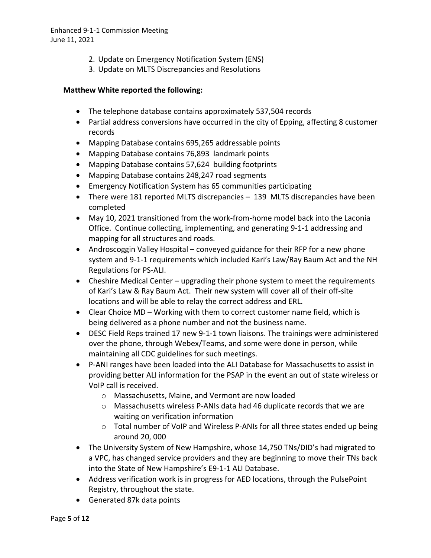- 2. Update on Emergency Notification System (ENS)
- 3. Update on MLTS Discrepancies and Resolutions

#### **Matthew White reported the following:**

- The telephone database contains approximately 537,504 records
- Partial address conversions have occurred in the city of Epping, affecting 8 customer records
- Mapping Database contains 695,265 addressable points
- Mapping Database contains 76,893 landmark points
- Mapping Database contains 57,624 building footprints
- Mapping Database contains 248,247 road segments
- Emergency Notification System has 65 communities participating
- There were 181 reported MLTS discrepancies 139 MLTS discrepancies have been completed
- May 10, 2021 transitioned from the work-from-home model back into the Laconia Office. Continue collecting, implementing, and generating 9-1-1 addressing and mapping for all structures and roads.
- Androscoggin Valley Hospital conveyed guidance for their RFP for a new phone system and 9-1-1 requirements which included Kari's Law/Ray Baum Act and the NH Regulations for PS-ALI.
- Cheshire Medical Center upgrading their phone system to meet the requirements of Kari's Law & Ray Baum Act. Their new system will cover all of their off-site locations and will be able to relay the correct address and ERL.
- Clear Choice MD Working with them to correct customer name field, which is being delivered as a phone number and not the business name.
- DESC Field Reps trained 17 new 9-1-1 town liaisons. The trainings were administered over the phone, through Webex/Teams, and some were done in person, while maintaining all CDC guidelines for such meetings.
- P-ANI ranges have been loaded into the ALI Database for Massachusetts to assist in providing better ALI information for the PSAP in the event an out of state wireless or VoIP call is received.
	- o Massachusetts, Maine, and Vermont are now loaded
	- $\circ$  Massachusetts wireless P-ANIs data had 46 duplicate records that we are waiting on verification information
	- o Total number of VoIP and Wireless P-ANIs for all three states ended up being around 20, 000
- The University System of New Hampshire, whose 14,750 TNs/DID's had migrated to a VPC, has changed service providers and they are beginning to move their TNs back into the State of New Hampshire's E9-1-1 ALI Database.
- Address verification work is in progress for AED locations, through the PulsePoint Registry, throughout the state.
- Generated 87k data points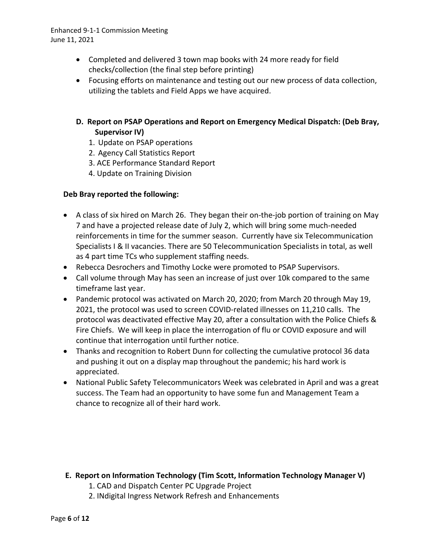- Completed and delivered 3 town map books with 24 more ready for field checks/collection (the final step before printing)
- Focusing efforts on maintenance and testing out our new process of data collection, utilizing the tablets and Field Apps we have acquired.

## **D. Report on PSAP Operations and Report on Emergency Medical Dispatch: (Deb Bray, Supervisor IV)**

- 1. Update on PSAP operations
- 2. Agency Call Statistics Report
- 3. ACE Performance Standard Report
- 4. Update on Training Division

#### **Deb Bray reported the following:**

- A class of six hired on March 26. They began their on-the-job portion of training on May 7 and have a projected release date of July 2, which will bring some much-needed reinforcements in time for the summer season. Currently have six Telecommunication Specialists I & II vacancies. There are 50 Telecommunication Specialists in total, as well as 4 part time TCs who supplement staffing needs.
- Rebecca Desrochers and Timothy Locke were promoted to PSAP Supervisors.
- Call volume through May has seen an increase of just over 10k compared to the same timeframe last year.
- Pandemic protocol was activated on March 20, 2020; from March 20 through May 19, 2021, the protocol was used to screen COVID-related illnesses on 11,210 calls. The protocol was deactivated effective May 20, after a consultation with the Police Chiefs & Fire Chiefs. We will keep in place the interrogation of flu or COVID exposure and will continue that interrogation until further notice.
- Thanks and recognition to Robert Dunn for collecting the cumulative protocol 36 data and pushing it out on a display map throughout the pandemic; his hard work is appreciated.
- National Public Safety Telecommunicators Week was celebrated in April and was a great success. The Team had an opportunity to have some fun and Management Team a chance to recognize all of their hard work.

#### **E. Report on Information Technology (Tim Scott, Information Technology Manager V)**

- 1. CAD and Dispatch Center PC Upgrade Project
- 2. INdigital Ingress Network Refresh and Enhancements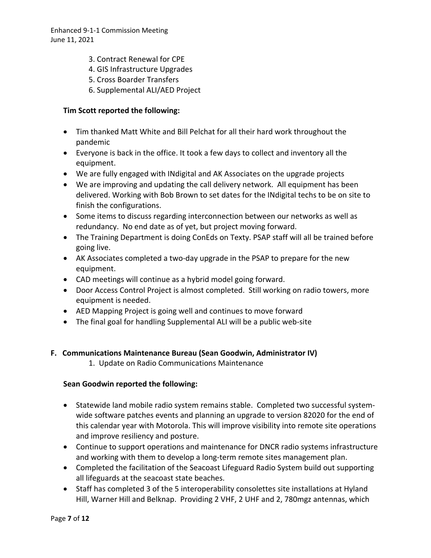- 3. Contract Renewal for CPE
- 4. GIS Infrastructure Upgrades
- 5. Cross Boarder Transfers
- 6. Supplemental ALI/AED Project

#### **Tim Scott reported the following:**

- Tim thanked Matt White and Bill Pelchat for all their hard work throughout the pandemic
- Everyone is back in the office. It took a few days to collect and inventory all the equipment.
- We are fully engaged with INdigital and AK Associates on the upgrade projects
- We are improving and updating the call delivery network. All equipment has been delivered. Working with Bob Brown to set dates for the INdigital techs to be on site to finish the configurations.
- Some items to discuss regarding interconnection between our networks as well as redundancy. No end date as of yet, but project moving forward.
- The Training Department is doing ConEds on Texty. PSAP staff will all be trained before going live.
- AK Associates completed a two-day upgrade in the PSAP to prepare for the new equipment.
- CAD meetings will continue as a hybrid model going forward.
- Door Access Control Project is almost completed. Still working on radio towers, more equipment is needed.
- AED Mapping Project is going well and continues to move forward
- The final goal for handling Supplemental ALI will be a public web-site

#### **F. Communications Maintenance Bureau (Sean Goodwin, Administrator IV)**

1. Update on Radio Communications Maintenance

#### **Sean Goodwin reported the following:**

- Statewide land mobile radio system remains stable. Completed two successful systemwide software patches events and planning an upgrade to version 82020 for the end of this calendar year with Motorola. This will improve visibility into remote site operations and improve resiliency and posture.
- Continue to support operations and maintenance for DNCR radio systems infrastructure and working with them to develop a long-term remote sites management plan.
- Completed the facilitation of the Seacoast Lifeguard Radio System build out supporting all lifeguards at the seacoast state beaches.
- Staff has completed 3 of the 5 interoperability consolettes site installations at Hyland Hill, Warner Hill and Belknap. Providing 2 VHF, 2 UHF and 2, 780mgz antennas, which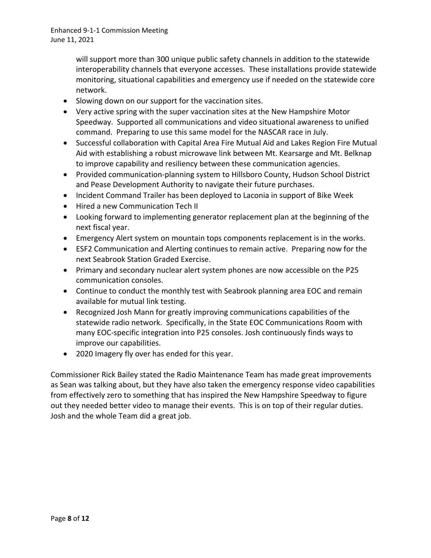will support more than 300 unique public safety channels in addition to the statewide interoperability channels that everyone accesses. These installations provide statewide monitoring, situational capabilities and emergency use if needed on the statewide core network.

- Slowing down on our support for the vaccination sites.
- Very active spring with the super vaccination sites at the New Hampshire Motor Speedway. Supported all communications and video situational awareness to unified command. Preparing to use this same model for the NASCAR race in July.
- Successful collaboration with Capital Area Fire Mutual Aid and Lakes Region Fire Mutual Aid with establishing a robust microwave link between Mt. Kearsarge and Mt. Belknap to improve capability and resiliency between these communication agencies.
- Provided communication-planning system to Hillsboro County, Hudson School District and Pease Development Authority to navigate their future purchases.
- Incident Command Trailer has been deployed to Laconia in support of Bike Week
- Hired a new Communication Tech II
- Looking forward to implementing generator replacement plan at the beginning of the next fiscal year.
- Emergency Alert system on mountain tops components replacement is in the works.
- ESF2 Communication and Alerting continues to remain active. Preparing now for the next Seabrook Station Graded Exercise.
- Primary and secondary nuclear alert system phones are now accessible on the P25 communication consoles.
- Continue to conduct the monthly test with Seabrook planning area EOC and remain available for mutual link testing.
- Recognized Josh Mann for greatly improving communications capabilities of the statewide radio network. Specifically, in the State EOC Communications Room with many EOC-specific integration into P25 consoles. Josh continuously finds ways to improve our capabilities.
- 2020 Imagery fly over has ended for this year.

Commissioner Rick Bailey stated the Radio Maintenance Team has made great improvements as Sean was talking about, but they have also taken the emergency response video capabilities from effectively zero to something that has inspired the New Hampshire Speedway to figure out they needed better video to manage their events. This is on top of their regular duties. Josh and the whole Team did a great job.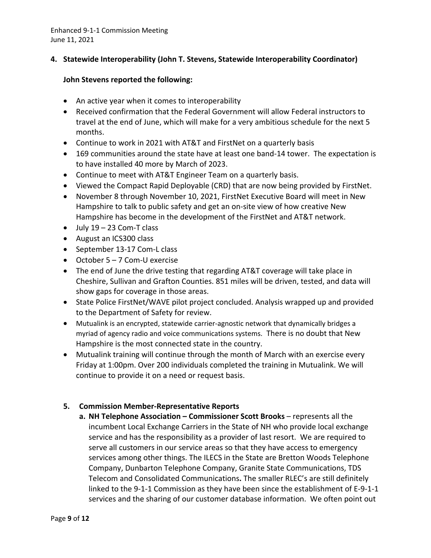#### **4. Statewide Interoperability (John T. Stevens, Statewide Interoperability Coordinator)**

#### **John Stevens reported the following:**

- An active year when it comes to interoperability
- Received confirmation that the Federal Government will allow Federal instructors to travel at the end of June, which will make for a very ambitious schedule for the next 5 months.
- Continue to work in 2021 with AT&T and FirstNet on a quarterly basis
- 169 communities around the state have at least one band-14 tower. The expectation is to have installed 40 more by March of 2023.
- Continue to meet with AT&T Engineer Team on a quarterly basis.
- Viewed the Compact Rapid Deployable (CRD) that are now being provided by FirstNet.
- November 8 through November 10, 2021, FirstNet Executive Board will meet in New Hampshire to talk to public safety and get an on-site view of how creative New Hampshire has become in the development of the FirstNet and AT&T network.
- $\bullet$  July 19 23 Com-T class
- August an ICS300 class
- September 13-17 Com-L class
- October 5 7 Com-U exercise
- The end of June the drive testing that regarding AT&T coverage will take place in Cheshire, Sullivan and Grafton Counties. 851 miles will be driven, tested, and data will show gaps for coverage in those areas.
- State Police FirstNet/WAVE pilot project concluded. Analysis wrapped up and provided to the Department of Safety for review.
- Mutualink is an encrypted, statewide carrier-agnostic network that dynamically bridges a myriad of agency radio and voice communications systems. There is no doubt that New Hampshire is the most connected state in the country.
- Mutualink training will continue through the month of March with an exercise every Friday at 1:00pm. Over 200 individuals completed the training in Mutualink. We will continue to provide it on a need or request basis.

#### **5. Commission Member-Representative Reports**

**a. NH Telephone Association – Commissioner Scott Brooks** – represents all the incumbent Local Exchange Carriers in the State of NH who provide local exchange service and has the responsibility as a provider of last resort. We are required to serve all customers in our service areas so that they have access to emergency services among other things. The ILECS in the State are Bretton Woods Telephone Company, Dunbarton Telephone Company, Granite State Communications, TDS Telecom and Consolidated Communications**.** The smaller RLEC's are still definitely linked to the 9-1-1 Commission as they have been since the establishment of E-9-1-1 services and the sharing of our customer database information. We often point out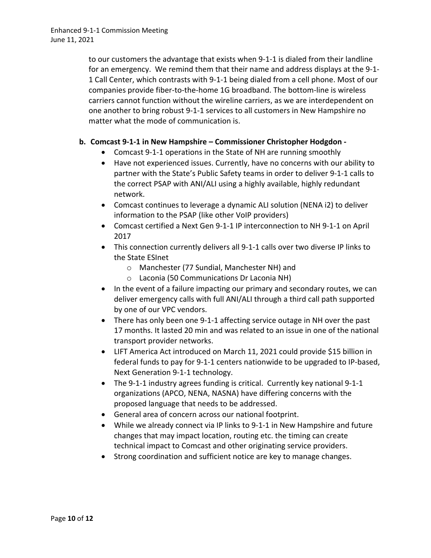to our customers the advantage that exists when 9-1-1 is dialed from their landline for an emergency. We remind them that their name and address displays at the 9-1- 1 Call Center, which contrasts with 9-1-1 being dialed from a cell phone. Most of our companies provide fiber-to-the-home 1G broadband. The bottom-line is wireless carriers cannot function without the wireline carriers, as we are interdependent on one another to bring robust 9-1-1 services to all customers in New Hampshire no matter what the mode of communication is.

### **b. Comcast 9-1-1 in New Hampshire – Commissioner Christopher Hodgdon -**

- Comcast 9-1-1 operations in the State of NH are running smoothly
- Have not experienced issues. Currently, have no concerns with our ability to partner with the State's Public Safety teams in order to deliver 9-1-1 calls to the correct PSAP with ANI/ALI using a highly available, highly redundant network.
- Comcast continues to leverage a dynamic ALI solution (NENA i2) to deliver information to the PSAP (like other VoIP providers)
- Comcast certified a Next Gen 9-1-1 IP interconnection to NH 9-1-1 on April 2017
- This connection currently delivers all 9-1-1 calls over two diverse IP links to the State ESInet
	- o Manchester (77 Sundial, Manchester NH) and
	- o Laconia (50 Communications Dr Laconia NH)
- In the event of a failure impacting our primary and secondary routes, we can deliver emergency calls with full ANI/ALI through a third call path supported by one of our VPC vendors.
- There has only been one 9-1-1 affecting service outage in NH over the past 17 months. It lasted 20 min and was related to an issue in one of the national transport provider networks.
- LIFT America Act introduced on March 11, 2021 could provide \$15 billion in federal funds to pay for 9-1-1 centers nationwide to be upgraded to IP-based, Next Generation 9-1-1 technology.
- The 9-1-1 industry agrees funding is critical. Currently key national 9-1-1 organizations (APCO, NENA, NASNA) have differing concerns with the proposed language that needs to be addressed.
- General area of concern across our national footprint.
- While we already connect via IP links to 9-1-1 in New Hampshire and future changes that may impact location, routing etc. the timing can create technical impact to Comcast and other originating service providers.
- Strong coordination and sufficient notice are key to manage changes.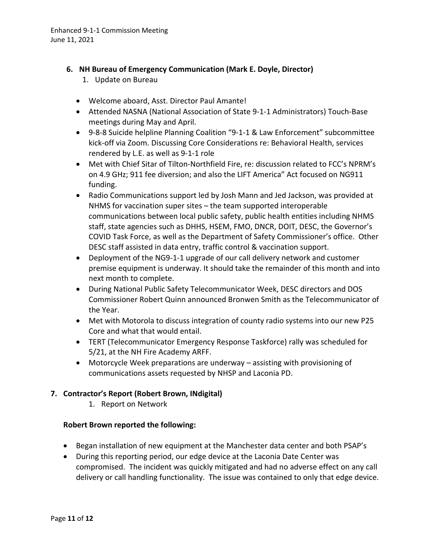### **6. NH Bureau of Emergency Communication (Mark E. Doyle, Director)**

- 1. Update on Bureau
- Welcome aboard, Asst. Director Paul Amante!
- Attended NASNA (National Association of State 9-1-1 Administrators) Touch-Base meetings during May and April.
- 9-8-8 Suicide helpline Planning Coalition "9-1-1 & Law Enforcement" subcommittee kick-off via Zoom. Discussing Core Considerations re: Behavioral Health, services rendered by L.E. as well as 9-1-1 role
- Met with Chief Sitar of Tilton-Northfield Fire, re: discussion related to FCC's NPRM's on 4.9 GHz; 911 fee diversion; and also the LIFT America" Act focused on NG911 funding.
- Radio Communications support led by Josh Mann and Jed Jackson, was provided at NHMS for vaccination super sites – the team supported interoperable communications between local public safety, public health entities including NHMS staff, state agencies such as DHHS, HSEM, FMO, DNCR, DOIT, DESC, the Governor's COVID Task Force, as well as the Department of Safety Commissioner's office. Other DESC staff assisted in data entry, traffic control & vaccination support.
- Deployment of the NG9-1-1 upgrade of our call delivery network and customer premise equipment is underway. It should take the remainder of this month and into next month to complete.
- During National Public Safety Telecommunicator Week, DESC directors and DOS Commissioner Robert Quinn announced Bronwen Smith as the Telecommunicator of the Year.
- Met with Motorola to discuss integration of county radio systems into our new P25 Core and what that would entail.
- TERT (Telecommunicator Emergency Response Taskforce) rally was scheduled for 5/21, at the NH Fire Academy ARFF.
- Motorcycle Week preparations are underway assisting with provisioning of communications assets requested by NHSP and Laconia PD.

## **7. Contractor's Report (Robert Brown, INdigital)**

1. Report on Network

#### **Robert Brown reported the following:**

- Began installation of new equipment at the Manchester data center and both PSAP's
- During this reporting period, our edge device at the Laconia Date Center was compromised. The incident was quickly mitigated and had no adverse effect on any call delivery or call handling functionality. The issue was contained to only that edge device.